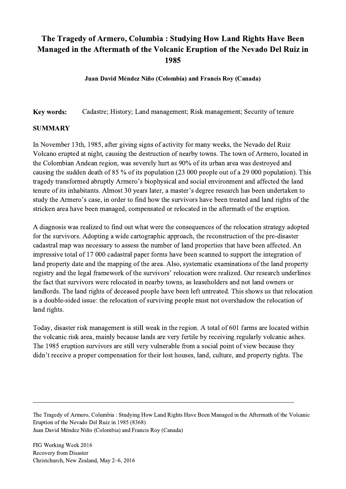## The Tragedy of Armero, Columbia : Studying How Land Rights Have Been Managed in the Aftermath of the Volcanic Eruption of the Nevado Del Ruiz in 1985

Juan David Méndez Niño (Colombia) and Francis Roy (Canada)

Key words: Cadastre; History; Land management; Risk management; Security of tenure

## SUMMARY

In November 13th, 1985, after giving signs of activity for many weeks, the Nevado del Ruiz Volcano erupted at night, causing the destruction of nearby towns. The town of Armero, located in the Colombian Andean region, was severely hurt as 90% of its urban area was destroyed and causing the sudden death of 85 % of its population (23 000 people out of a 29 000 population). This tragedy transformed abruptly Armero's biophysical and social environment and affected the land tenure of its inhabitants. Almost 30 years later, a master's degree research has been undertaken to study the Armero's case, in order to find how the survivors have been treated and land rights of the stricken area have been managed, compensated or relocated in the aftermath of the eruption.

A diagnosis was realized to find out what were the consequences of the relocation strategy adopted for the survivors. Adopting a wide cartographic approach, the reconstruction of the pre-disaster cadastral map was necessary to assess the number of land properties that have been affected. An impressive total of 17 000 cadastral paper forms have been scanned to support the integration of land property date and the mapping of the area. Also, systematic examinations of the land property registry and the legal framework of the survivors' relocation were realized. Our research underlines the fact that survivors were relocated in nearby towns, as leaseholders and not land owners or landlords. The land rights of deceased people have been left untreated. This shows us that relocation is a double-sided issue: the relocation of surviving people must not overshadow the relocation of land rights.

Today, disaster risk management is still weak in the region. A total of 601 farms are located within the volcanic risk area, mainly because lands are very fertile by receiving regularly volcanic ashes. The 1985 eruption survivors are still very vulnerable from a social point of view because they didn't receive a proper compensation for their lost houses, land, culture, and property rights. The

The Tragedy of Armero, Columbia : Studying How Land Rights Have Been Managed in the Aftermath of the Volcanic Eruption of the Nevado Del Ruiz in 1985 (8368) Juan David Méndez Niño (Colombia) and Francis Roy (Canada)

 $\mathcal{L}_\mathcal{L} = \{ \mathcal{L}_\mathcal{L} = \{ \mathcal{L}_\mathcal{L} = \{ \mathcal{L}_\mathcal{L} = \{ \mathcal{L}_\mathcal{L} = \{ \mathcal{L}_\mathcal{L} = \{ \mathcal{L}_\mathcal{L} = \{ \mathcal{L}_\mathcal{L} = \{ \mathcal{L}_\mathcal{L} = \{ \mathcal{L}_\mathcal{L} = \{ \mathcal{L}_\mathcal{L} = \{ \mathcal{L}_\mathcal{L} = \{ \mathcal{L}_\mathcal{L} = \{ \mathcal{L}_\mathcal{L} = \{ \mathcal{L}_\mathcal{$ 

FIG Working Week 2016 Recovery from Disaster Christchurch, New Zealand, May 2–6, 2016